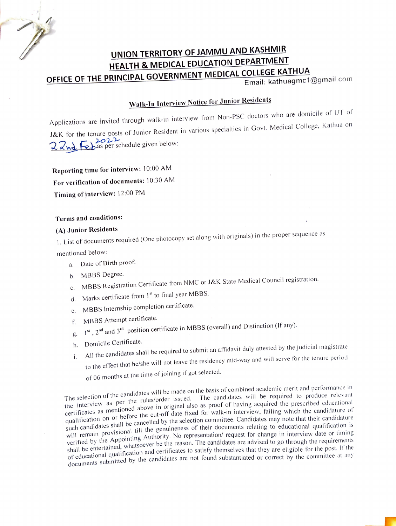

### UNION TERRITORY OF JAMMU AND KASHMIR HEALTH & MEDICAL EDUCATION DEPARTMENT OFFICE OF THE PRINCIPAL GOVERNMENT MEDICAL COLLEGE KATHUA

Email: kathuagmc1@gmail.com

## Walk-In Interview Notice for Junior Residents

Applications are invited through walk-in interview from Non-PSC doctors who are domicile of UT of J&K for the tenure posts of Junior Resident in various specialties in Govt. Medical College, Kathua on  $28$ nd Febas per schedule given below:

Reporting time for interview: 10:00 AM For verification of documents: 10:30 AM Timing of interview: 12:00 PM

### Terms and conditions:

#### (A) Junior Residents

1. List of documents required (One photocopy set along with originals) in the proper sequence as

mentioned below:

- a. Date of Birth proof.
- b. MBBS Degree.
- c. MBBS Registration Certificate from NMC or J&K State Medical Council registration.
- d. Marks certificate from 1<sup>st</sup> to final year MBBS.
- e. MBBS Internship completion certificate.
- f. MBBS Attempt certificate.
- $g_1 = 1^{st}$ ,  $2^{nd}$  and  $3^{rd}$  position certificate in MBBS (overall) and Distinction (If any).
- h. Domicile Certificate.
- i. All the candidates shall be required to submit an affidavit duly attested by the judicial magistrate to the effect that he/she will not leave the residency mid-way and will serve for the tenure period of 06 months at the time of joining if got selected.

The selection of the candidates will be made on the basis of combined academic merit and performance in The selection of the candidation and strategies of the results of computer academic merit and performance in the rules/order issued. The candidates will be required to produce relevant certificates as mentioned above in original also as proof of having acquired the prescribed educational certificates as mentioned above in original also as proof of having acquired the prescribed educational certification on or before the cut-off date fixed for walk-in interview, failing which the candidature of qualification on or before the cut-off date fixed for walk-in interview, failing which the candidature of quantication on or *occurs* and election committee. Candidates may note that their candidature such candidature such candidature such candidates share by canceler of the community candidates may note that their candidative<br>will remain provisional till the genuineness of their documents relating to educational qualification is will remain provisional and the Secret formation of the Secret for change in interview date or timing verified by the Appointing Authority. No representation/ request for change in interview date or timing shall be entertained, whatsoever be the reason. The candidates are advised to go through the requirements shall be entertained, whatsoever be the reason. The candidates are advised to go through the requirements shall be entertained, then and certificates to satisfy themselves that they are eligible for the post. If the of educational qualification and certificates to satisfy themselves that they are eligible for the post. If the of equival of the post if the candidates are not found substantiated or correct by the committee at any documents submitted by the candidates are not found substantiated or correct by the committee at any